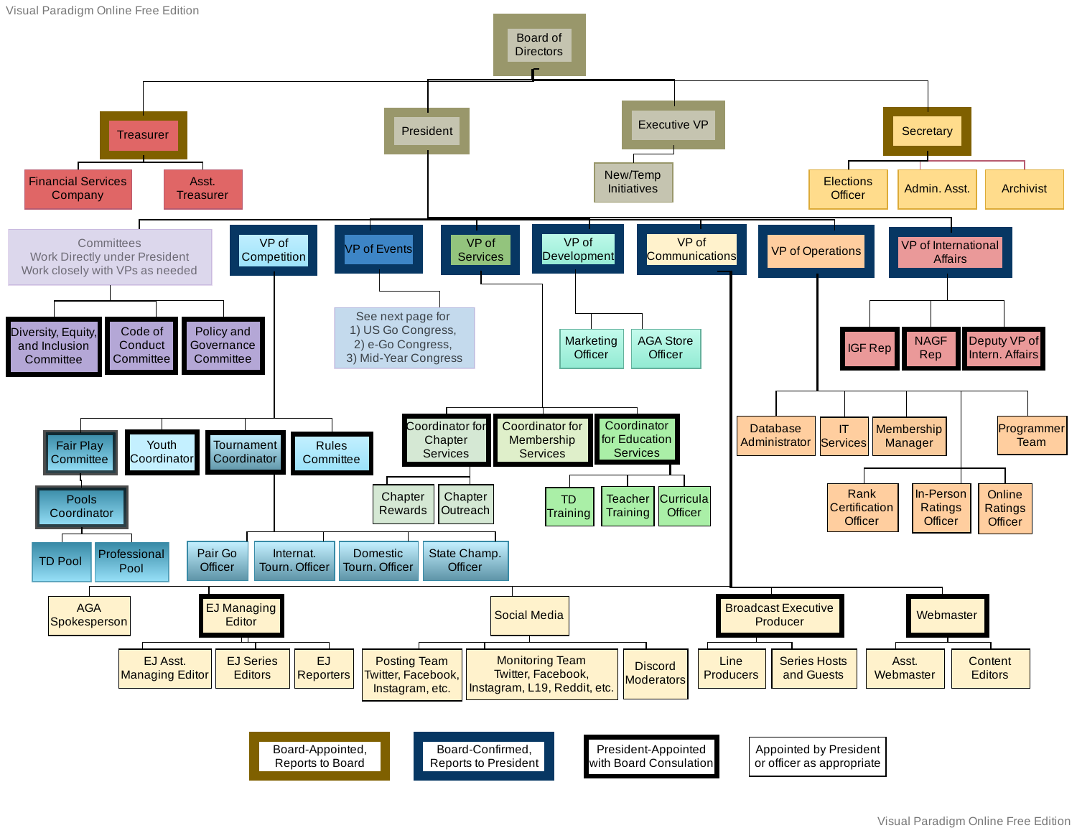